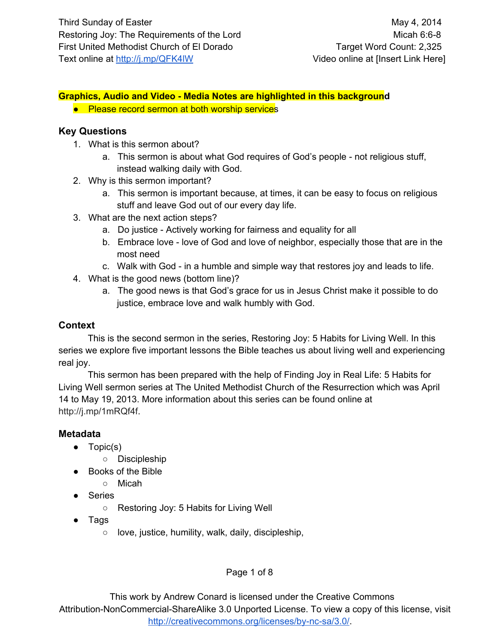### **Graphics, Audio and Video Media Notes are highlighted in this background**

● Please record sermon at both worship services

#### **Key Questions**

- 1. What is this sermon about?
	- a. This sermon is about what God requires of God's people not religious stuff, instead walking daily with God.
- 2. Why is this sermon important?
	- a. This sermon is important because, at times, it can be easy to focus on religious stuff and leave God out of our every day life.
- 3. What are the next action steps?
	- a. Do justice Actively working for fairness and equality for all
	- b. Embrace love love of God and love of neighbor, especially those that are in the most need
	- c. Walk with God in a humble and simple way that restores joy and leads to life.
- 4. What is the good news (bottom line)?
	- a. The good news is that God's grace for us in Jesus Christ make it possible to do justice, embrace love and walk humbly with God.

### **Context**

This is the second sermon in the series, Restoring Joy: 5 Habits for Living Well. In this series we explore five important lessons the Bible teaches us about living well and experiencing real joy.

This sermon has been prepared with the help of Finding Joy in Real Life: 5 Habits for Living Well sermon series at The United Methodist Church of the Resurrection which was April 14 to May 19, 2013. More information about this series can be found online at [http://j.mp/1mRQf4f.](http://www.google.com/url?q=http%3A%2F%2Fj.mp%2F1mRQf4f&sa=D&sntz=1&usg=AFQjCNFRU1l67JqGR49mHE3tYAOxA4EMTA)

#### **Metadata**

- Topic(s)
	- Discipleship
- Books of the Bible
	- Micah
- Series
	- Restoring Joy: 5 Habits for Living Well
- Tags
	- love, justice, humility, walk, daily, discipleship,

#### Page 1 of 8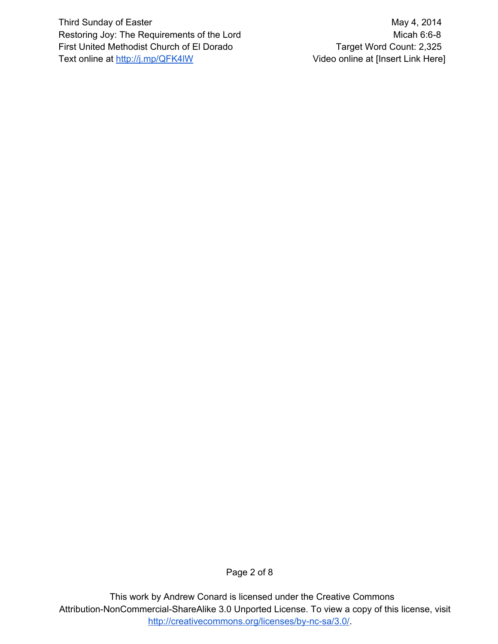Page 2 of 8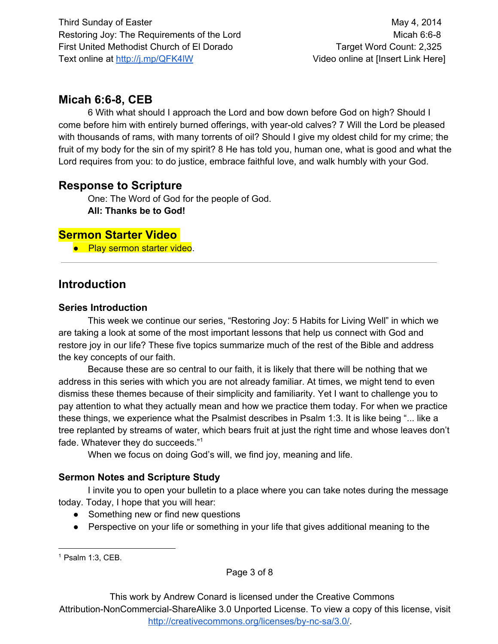# **Micah 6:6-8, CEB**

6 With what should I approach the Lord and bow down before God on high? Should I come before him with entirely burned offerings, with year-old calves? 7 Will the Lord be pleased with thousands of rams, with many torrents of oil? Should I give my oldest child for my crime; the fruit of my body for the sin of my spirit? 8 He has told you, human one, what is good and what the Lord requires from you: to do justice, embrace faithful love, and walk humbly with your God.

## **Response to Scripture**

One: The Word of God for the people of God. **All: Thanks be to God!**

## **Sermon Starter Video**

● Play sermon starter video.

# **Introduction**

### **Series Introduction**

This week we continue our series, "Restoring Joy: 5 Habits for Living Well" in which we are taking a look at some of the most important lessons that help us connect with God and restore joy in our life? These five topics summarize much of the rest of the Bible and address the key concepts of our faith.

Because these are so central to our faith, it is likely that there will be nothing that we address in this series with which you are not already familiar. At times, we might tend to even dismiss these themes because of their simplicity and familiarity. Yet I want to challenge you to pay attention to what they actually mean and how we practice them today. For when we practice these things, we experience what the Psalmist describes in Psalm 1:3. It is like being "... like a tree replanted by streams of water, which bears fruit at just the right time and whose leaves don't fade. Whatever they do succeeds." 1

When we focus on doing God's will, we find joy, meaning and life.

## **Sermon Notes and Scripture Study**

I invite you to open your bulletin to a place where you can take notes during the message today. Today, I hope that you will hear:

- Something new or find new questions
- Perspective on your life or something in your life that gives additional meaning to the

Page 3 of 8

 $<sup>1</sup>$  Psalm 1:3, CEB.</sup>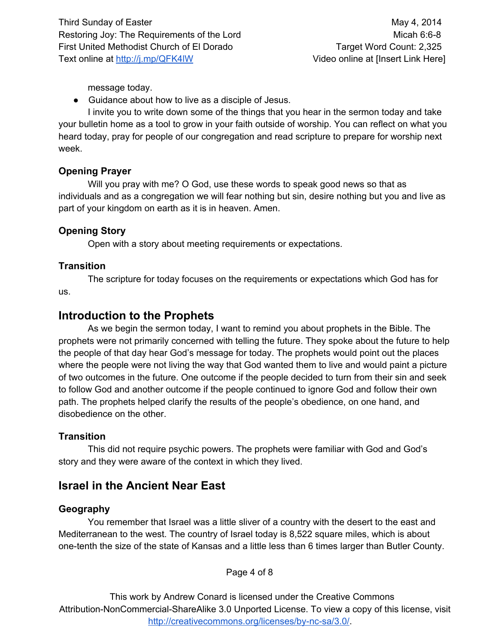message today.

● Guidance about how to live as a disciple of Jesus.

I invite you to write down some of the things that you hear in the sermon today and take your bulletin home as a tool to grow in your faith outside of worship. You can reflect on what you heard today, pray for people of our congregation and read scripture to prepare for worship next week.

## **Opening Prayer**

Will you pray with me? O God, use these words to speak good news so that as individuals and as a congregation we will fear nothing but sin, desire nothing but you and live as part of your kingdom on earth as it is in heaven. Amen.

## **Opening Story**

Open with a story about meeting requirements or expectations.

## **Transition**

The scripture for today focuses on the requirements or expectations which God has for us.

## **Introduction to the Prophets**

As we begin the sermon today, I want to remind you about prophets in the Bible. The prophets were not primarily concerned with telling the future. They spoke about the future to help the people of that day hear God's message for today. The prophets would point out the places where the people were not living the way that God wanted them to live and would paint a picture of two outcomes in the future. One outcome if the people decided to turn from their sin and seek to follow God and another outcome if the people continued to ignore God and follow their own path. The prophets helped clarify the results of the people's obedience, on one hand, and disobedience on the other.

## **Transition**

This did not require psychic powers. The prophets were familiar with God and God's story and they were aware of the context in which they lived.

# **Israel in the Ancient Near East**

## **Geography**

You remember that Israel was a little sliver of a country with the desert to the east and Mediterranean to the west. The country of Israel today is 8,522 square miles, which is about one-tenth the size of the state of Kansas and a little less than 6 times larger than Butler County.

Page 4 of 8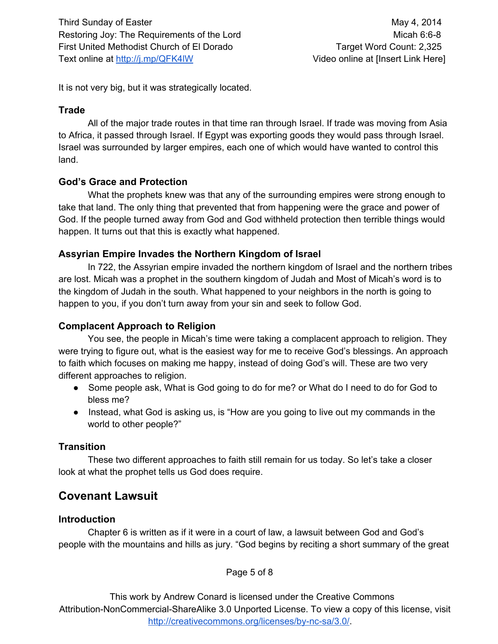It is not very big, but it was strategically located.

#### **Trade**

All of the major trade routes in that time ran through Israel. If trade was moving from Asia to Africa, it passed through Israel. If Egypt was exporting goods they would pass through Israel. Israel was surrounded by larger empires, each one of which would have wanted to control this land.

#### **God's Grace and Protection**

What the prophets knew was that any of the surrounding empires were strong enough to take that land. The only thing that prevented that from happening were the grace and power of God. If the people turned away from God and God withheld protection then terrible things would happen. It turns out that this is exactly what happened.

#### **Assyrian Empire Invades the Northern Kingdom of Israel**

In 722, the Assyrian empire invaded the northern kingdom of Israel and the northern tribes are lost. Micah was a prophet in the southern kingdom of Judah and Most of Micah's word is to the kingdom of Judah in the south. What happened to your neighbors in the north is going to happen to you, if you don't turn away from your sin and seek to follow God.

#### **Complacent Approach to Religion**

You see, the people in Micah's time were taking a complacent approach to religion. They were trying to figure out, what is the easiest way for me to receive God's blessings. An approach to faith which focuses on making me happy, instead of doing God's will. These are two very different approaches to religion.

- Some people ask, What is God going to do for me? or What do I need to do for God to bless me?
- Instead, what God is asking us, is "How are you going to live out my commands in the world to other people?"

#### **Transition**

These two different approaches to faith still remain for us today. So let's take a closer look at what the prophet tells us God does require.

## **Covenant Lawsuit**

#### **Introduction**

Chapter 6 is written as if it were in a court of law, a lawsuit between God and God's people with the mountains and hills as jury. "God begins by reciting a short summary of the great

Page 5 of 8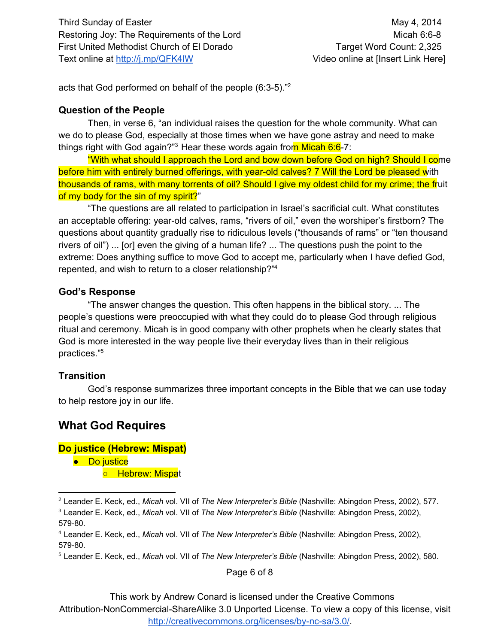acts that God performed on behalf of the people  $(6:3-5)$ ."<sup>2</sup>

#### **Question of the People**

Then, in verse 6, "an individual raises the question for the whole community. What can we do to please God, especially at those times when we have gone astray and need to make things right with God again?"<sup>3</sup> Hear these words again from Micah 6:6-7:

"With what should I approach the Lord and bow down before God on high? Should I come before him with entirely burned offerings, with year-old calves? 7 Will the Lord be pleased with thousands of rams, with many torrents of oil? Should I give my oldest child for my crime; the fruit of my body for the sin of my spirit?"

"The questions are all related to participation in Israel's sacrificial cult. What constitutes an acceptable offering: year-old calves, rams, "rivers of oil," even the worshiper's firstborn? The questions about quantity gradually rise to ridiculous levels ("thousands of rams" or "ten thousand rivers of oil") ... [or] even the giving of a human life? ... The questions push the point to the extreme: Does anything suffice to move God to accept me, particularly when I have defied God, repented, and wish to return to a closer relationship?" 4

#### **God's Response**

"The answer changes the question. This often happens in the biblical story. ... The people's questions were preoccupied with what they could do to please God through religious ritual and ceremony. Micah is in good company with other prophets when he clearly states that God is more interested in the way people live their everyday lives than in their religious practices." 5

#### **Transition**

God's response summarizes three important concepts in the Bible that we can use today to help restore joy in our life.

# **What God Requires**

## **Do justice (Hebrew: Mispat)**

- Do justice
	- Hebrew: Mispat

Page 6 of 8

This work by Andrew Conard is licensed under the Creative Commons

Attribution-NonCommercial-ShareAlike 3.0 Unported License. To view a copy of this license, visit http://creativecommons.org/licenses/by-nc-sa/3.0/.

<sup>2</sup> Leander E. Keck, ed., *Micah* vol. VII of *The New Interpreter's Bible* (Nashville: Abingdon Press, 2002), 577.

<sup>3</sup> Leander E. Keck, ed., *Micah* vol. VII of *The New Interpreter's Bible* (Nashville: Abingdon Press, 2002), 579-80.

<sup>4</sup> Leander E. Keck, ed., *Micah* vol. VII of *The New Interpreter's Bible* (Nashville: Abingdon Press, 2002), 579-80.

<sup>5</sup> Leander E. Keck, ed., *Micah* vol. VII of *The New Interpreter's Bible* (Nashville: Abingdon Press, 2002), 580.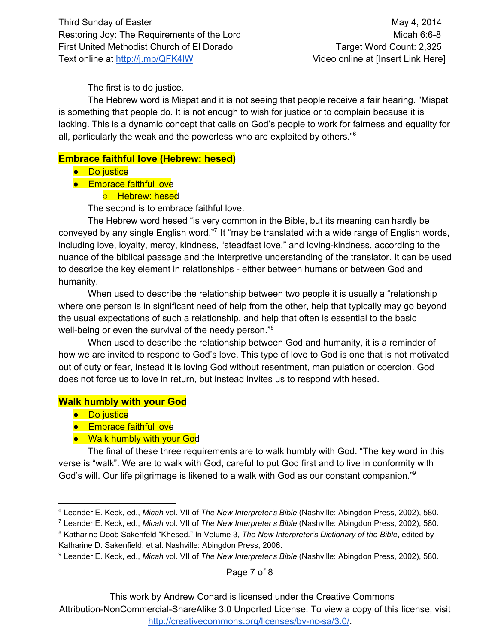The first is to do justice.

The Hebrew word is Mispat and it is not seeing that people receive a fair hearing. "Mispat is something that people do. It is not enough to wish for justice or to complain because it is lacking. This is a dynamic concept that calls on God's people to work for fairness and equality for all, particularly the weak and the powerless who are exploited by others." $6$ 

### **Embrace faithful love (Hebrew: hesed)**

- Do justice
- Embrace faithful love

### o Hebrew: hesed

The second is to embrace faithful love.

The Hebrew word hesed "is very common in the Bible, but its meaning can hardly be conveyed by any single English word."<sup>7</sup> It "may be translated with a wide range of English words, including love, loyalty, mercy, kindness, "steadfast love," and loving-kindness, according to the nuance of the biblical passage and the interpretive understanding of the translator. It can be used to describe the key element in relationships - either between humans or between God and humanity.

When used to describe the relationship between two people it is usually a "relationship where one person is in significant need of help from the other, help that typically may go beyond the usual expectations of such a relationship, and help that often is essential to the basic well-being or even the survival of the needy person."<sup>8</sup>

When used to describe the relationship between God and humanity, it is a reminder of how we are invited to respond to God's love. This type of love to God is one that is not motivated out of duty or fear, instead it is loving God without resentment, manipulation or coercion. God does not force us to love in return, but instead invites us to respond with hesed.

#### **Walk humbly with your God**

- Do justice
- Embrace faithful love
- Walk humbly with your God

The final of these three requirements are to walk humbly with God. "The key word in this verse is "walk". We are to walk with God, careful to put God first and to live in conformity with God's will. Our life pilgrimage is likened to a walk with God as our constant companion."<sup>9</sup>

Page 7 of 8

This work by Andrew Conard is licensed under the Creative Commons

Attribution-NonCommercial-ShareAlike 3.0 Unported License. To view a copy of this license, visit http://creativecommons.org/licenses/by-nc-sa/3.0/.

<sup>6</sup> Leander E. Keck, ed., *Micah* vol. VII of *The New Interpreter's Bible* (Nashville: Abingdon Press, 2002), 580.

<sup>7</sup> Leander E. Keck, ed., *Micah* vol. VII of *The New Interpreter's Bible* (Nashville: Abingdon Press, 2002), 580.

<sup>8</sup> Katharine Doob Sakenfeld "Khesed." In Volume 3, *The New Interpreter's Dictionary of the Bible*, edited by Katharine D. Sakenfield, et al. Nashville: Abingdon Press, 2006.

<sup>9</sup> Leander E. Keck, ed., *Micah* vol. VII of *The New Interpreter's Bible* (Nashville: Abingdon Press, 2002), 580.